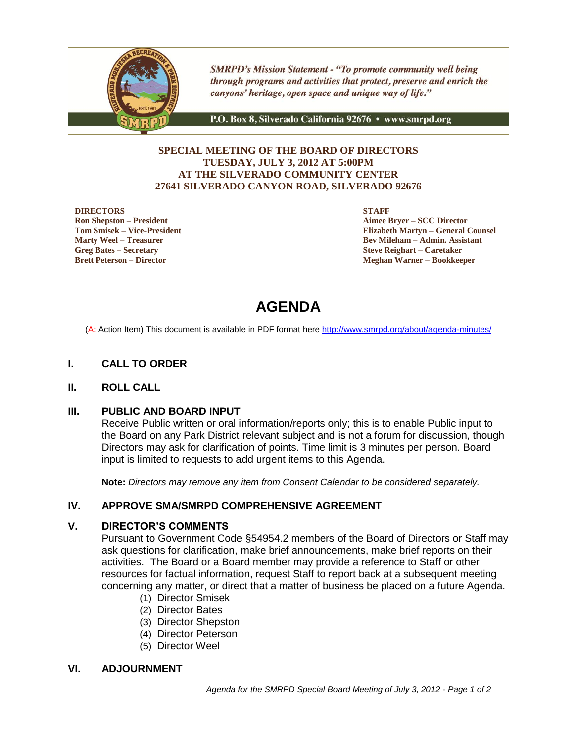

**SMRPD's Mission Statement - "To promote community well being** through programs and activities that protect, preserve and enrich the canyons' heritage, open space and unique way of life."

P.O. Box 8, Silverado California 92676 · www.smrpd.org

# **SPECIAL MEETING OF THE BOARD OF DIRECTORS TUESDAY, JULY 3, 2012 AT 5:00PM AT THE SILVERADO COMMUNITY CENTER 27641 SILVERADO CANYON ROAD, SILVERADO 92676**

#### **DIRECTORS**

**Ron Shepston – President Tom Smisek – Vice-President Marty Weel – Treasurer Greg Bates – Secretary Brett Peterson – Director**

**STAFF**

**Aimee Bryer – SCC Director Elizabeth Martyn – General Counsel Bev Mileham – Admin. Assistant Steve Reighart – Caretaker Meghan Warner – Bookkeeper**

# **AGENDA**

(A: Action Item) This document is available in PDF format here <http://www.smrpd.org/>about/agenda-minutes/

# **I. CALL TO ORDER**

### **II. ROLL CALL**

### **III. PUBLIC AND BOARD INPUT**

Receive Public written or oral information/reports only; this is to enable Public input to the Board on any Park District relevant subject and is not a forum for discussion, though Directors may ask for clarification of points. Time limit is 3 minutes per person. Board input is limited to requests to add urgent items to this Agenda.

**Note:** *Directors may remove any item from Consent Calendar to be considered separately.*

### **IV. APPROVE SMA/SMRPD COMPREHENSIVE AGREEMENT**

# **V. DIRECTOR'S COMMENTS**

Pursuant to Government Code §54954.2 members of the Board of Directors or Staff may ask questions for clarification, make brief announcements, make brief reports on their activities. The Board or a Board member may provide a reference to Staff or other resources for factual information, request Staff to report back at a subsequent meeting concerning any matter, or direct that a matter of business be placed on a future Agenda.

- (1) Director Smisek
- (2) Director Bates
- (3) Director Shepston
- (4) Director Peterson
- (5) Director Weel

### **VI. ADJOURNMENT**